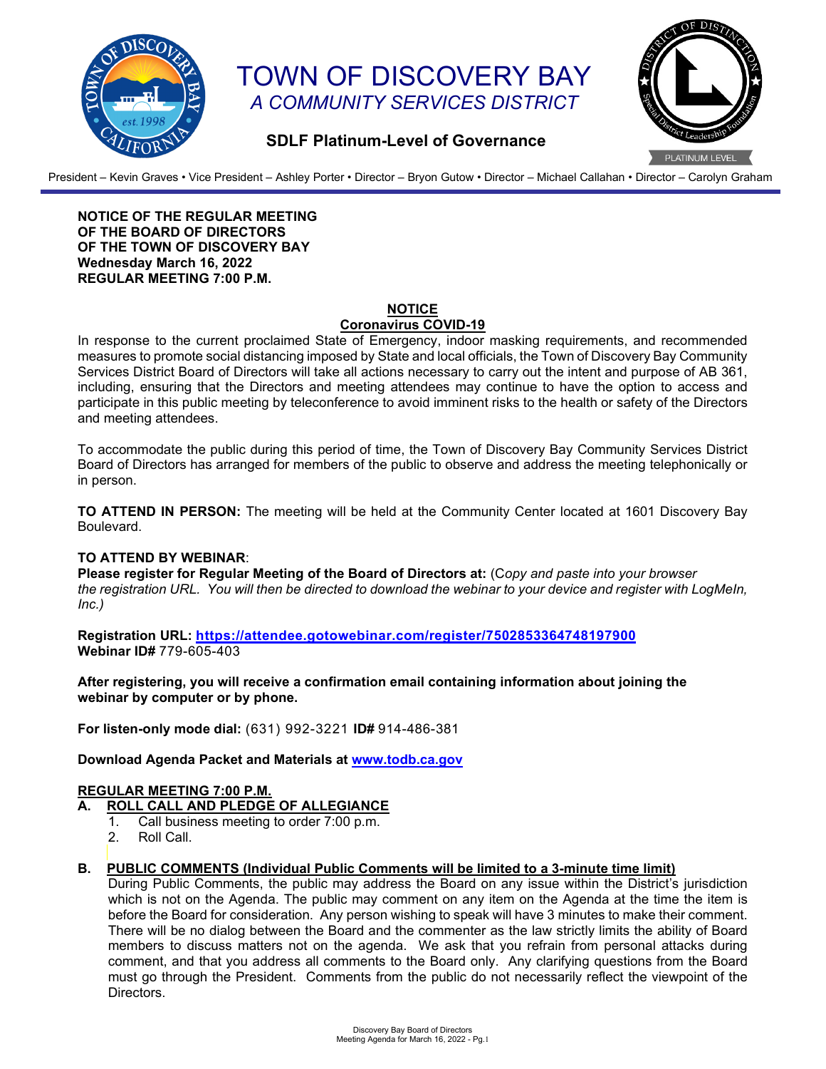

# TOWN OF DISCOVERY BAY *A COMMUNITY SERVICES DISTRICT*



# **SDLF Platinum-Level of Governance**

President – Kevin Graves • Vice President – Ashley Porter • Director – Bryon Gutow • Director – Michael Callahan • Director – Carolyn Graham

**NOTICE OF THE REGULAR MEETING OF THE BOARD OF DIRECTORS OF THE TOWN OF DISCOVERY BAY Wednesday March 16, 2022 REGULAR MEETING 7:00 P.M.**

#### **NOTICE**

# **Coronavirus COVID-19**

In response to the current proclaimed State of Emergency, indoor masking requirements, and recommended measures to promote social distancing imposed by State and local officials, the Town of Discovery Bay Community Services District Board of Directors will take all actions necessary to carry out the intent and purpose of AB 361, including, ensuring that the Directors and meeting attendees may continue to have the option to access and participate in this public meeting by teleconference to avoid imminent risks to the health or safety of the Directors and meeting attendees.

To accommodate the public during this period of time, the Town of Discovery Bay Community Services District Board of Directors has arranged for members of the public to observe and address the meeting telephonically or in person.

**TO ATTEND IN PERSON:** The meeting will be held at the Community Center located at 1601 Discovery Bay Boulevard.

#### **TO ATTEND BY WEBINAR**:

**Please register for Regular Meeting of the Board of Directors at:** (C*opy and paste into your browser the registration URL. You will then be directed to download the webinar to your device and register with LogMeIn, Inc.)*

**Registration URL: <https://attendee.gotowebinar.com/register/7502853364748197900> Webinar ID#** 779-605-403

**After registering, you will receive a confirmation email containing information about joining the webinar by computer or by phone.**

**For listen-only mode dial:** (631) 992-3221 **ID#** 914-486-381

**Download Agenda Packet and Materials at [www.todb.ca.gov](http://www.todb.ca.gov/)**

#### **REGULAR MEETING 7:00 P.M.**

- **A. ROLL CALL AND PLEDGE OF ALLEGIANCE**
	- 1. Call business meeting to order 7:00 p.m.
		- 2. Roll Call.

# **B. PUBLIC COMMENTS (Individual Public Comments will be limited to a 3-minute time limit)**

During Public Comments, the public may address the Board on any issue within the District's jurisdiction which is not on the Agenda. The public may comment on any item on the Agenda at the time the item is before the Board for consideration. Any person wishing to speak will have 3 minutes to make their comment. There will be no dialog between the Board and the commenter as the law strictly limits the ability of Board members to discuss matters not on the agenda. We ask that you refrain from personal attacks during comment, and that you address all comments to the Board only. Any clarifying questions from the Board must go through the President. Comments from the public do not necessarily reflect the viewpoint of the Directors.